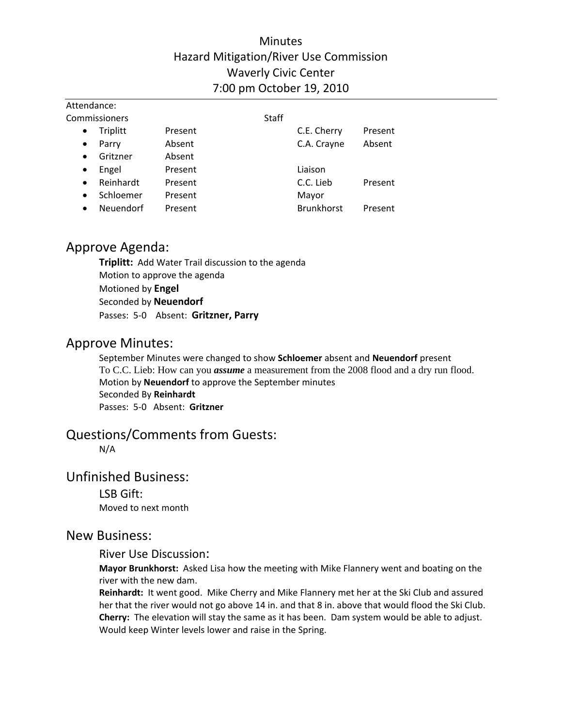# **Minutes** Hazard Mitigation/River Use Commission Waverly Civic Center 7:00 pm October 19, 2010

| Attendance:            |         |              |                   |         |  |
|------------------------|---------|--------------|-------------------|---------|--|
| Commissioners          |         | <b>Staff</b> |                   |         |  |
| Triplitt<br>$\bullet$  | Present |              | C.E. Cherry       | Present |  |
| Parry<br>$\bullet$     | Absent  |              | C.A. Crayne       | Absent  |  |
| Gritzner<br>$\bullet$  | Absent  |              |                   |         |  |
| Engel<br>$\bullet$     | Present |              | Liaison           |         |  |
| Reinhardt<br>$\bullet$ | Present |              | C.C. Lieb         | Present |  |
| Schloemer<br>$\bullet$ | Present |              | Mayor             |         |  |
| Neuendorf<br>$\bullet$ | Present |              | <b>Brunkhorst</b> | Present |  |

# Approve Agenda:

**Triplitt:** Add Water Trail discussion to the agenda Motion to approve the agenda Motioned by **Engel** Seconded by **Neuendorf** Passes: 5‐0 Absent: **Gritzner, Parry**

# Approve Minutes:

September Minutes were changed to show **Schloemer** absent and **Neuendorf** present To C.C. Lieb: How can you *assume* a measurement from the 2008 flood and a dry run flood. Motion by **Neuendorf** to approve the September minutes Seconded By **Reinhardt** Passes: 5‐0 Absent: **Gritzner**

# Questions/Comments from Guests:

N/A

# Unfinished Business:

LSB Gift: Moved to next month

## New Business:

### River Use Discussion:

**Mayor Brunkhorst:** Asked Lisa how the meeting with Mike Flannery went and boating on the river with the new dam.

**Reinhardt:** It went good. Mike Cherry and Mike Flannery met her at the Ski Club and assured her that the river would not go above 14 in. and that 8 in. above that would flood the Ski Club. **Cherry:** The elevation will stay the same as it has been. Dam system would be able to adjust. Would keep Winter levels lower and raise in the Spring.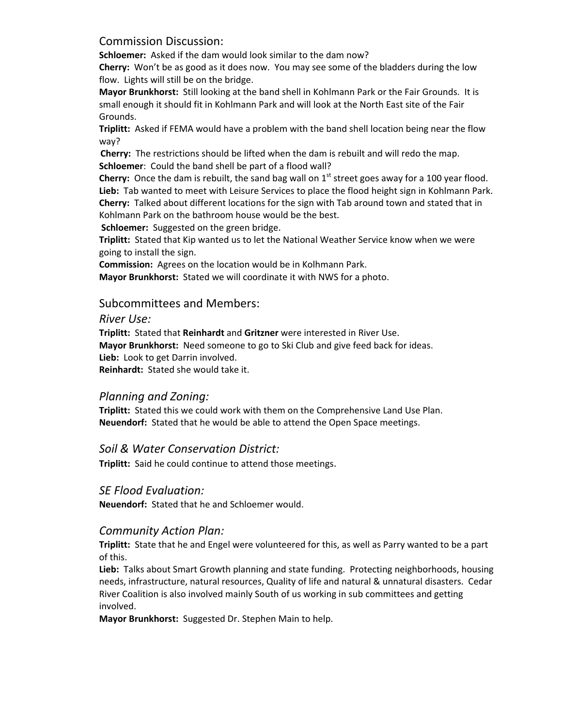Commission Discussion:

**Schloemer:** Asked if the dam would look similar to the dam now?

**Cherry:** Won't be as good as it does now. You may see some of the bladders during the low flow. Lights will still be on the bridge.

**Mayor Brunkhorst:** Still looking at the band shell in Kohlmann Park or the Fair Grounds. It is small enough it should fit in Kohlmann Park and will look at the North East site of the Fair Grounds.

**Triplitt:** Asked if FEMA would have a problem with the band shell location being near the flow way?

**Cherry:** The restrictions should be lifted when the dam is rebuilt and will redo the map. **Schloemer**: Could the band shell be part of a flood wall?

**Cherry:** Once the dam is rebuilt, the sand bag wall on  $1<sup>st</sup>$  street goes away for a 100 year flood. **Lieb:** Tab wanted to meet with Leisure Services to place the flood height sign in Kohlmann Park. **Cherry:** Talked about different locations for the sign with Tab around town and stated that in Kohlmann Park on the bathroom house would be the best.

**Schloemer:** Suggested on the green bridge.

**Triplitt:** Stated that Kip wanted us to let the National Weather Service know when we were going to install the sign.

**Commission:** Agrees on the location would be in Kolhmann Park.

**Mayor Brunkhorst:** Stated we will coordinate it with NWS for a photo.

#### Subcommittees and Members:

*River Use:*

**Triplitt:** Stated that **Reinhardt** and **Gritzner** were interested in River Use. **Mayor Brunkhorst:** Need someone to go to Ski Club and give feed back for ideas. Lieb: Look to get Darrin involved.

**Reinhardt:** Stated she would take it.

#### *Planning and Zoning:*

**Triplitt:** Stated this we could work with them on the Comprehensive Land Use Plan. **Neuendorf:** Stated that he would be able to attend the Open Space meetings.

#### *Soil & Water Conservation District:*

**Triplitt:** Said he could continue to attend those meetings.

#### *SE Flood Evaluation:*

**Neuendorf:** Stated that he and Schloemer would.

#### *Community Action Plan:*

**Triplitt:** State that he and Engel were volunteered for this, as well as Parry wanted to be a part of this.

Lieb: Talks about Smart Growth planning and state funding. Protecting neighborhoods, housing needs, infrastructure, natural resources, Quality of life and natural & unnatural disasters. Cedar River Coalition is also involved mainly South of us working in sub committees and getting involved.

**Mayor Brunkhorst:** Suggested Dr. Stephen Main to help.